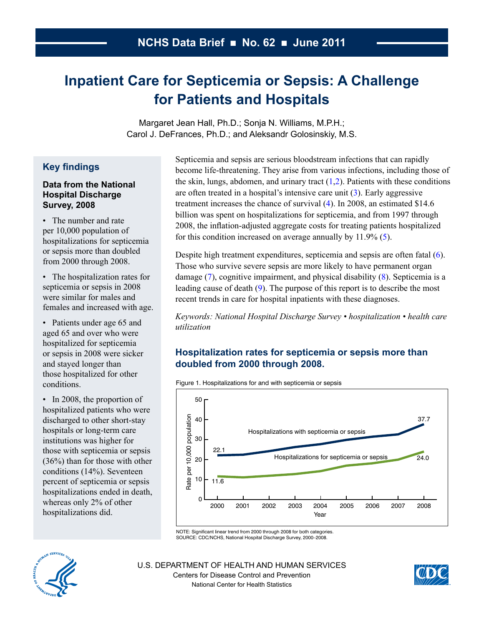# <span id="page-0-0"></span>**Inpatient Care for Septicemia or Sepsis: A Challenge for Patients and Hospitals**

Margaret Jean Hall, Ph.D.; Sonja N. Williams, M.P.H.; Carol J. DeFrances, Ph.D.; and Aleksandr Golosinskiy, M.S.

# **Key findings**

#### **Data from the National Hospital Discharge Survey, 2008**

• The number and rate per 10,000 population of hospitalizations for septicemia or sepsis more than doubled from  $2000$  through  $2008$ .

• The hospitalization rates for septicemia or sepsis in 2008 were similar for males and females and increased with age.

• Patients under age 65 and aged 65 and over who were hospitalized for septicemia or sepsis in 2008 were sicker and stayed longer than those hospitalized for other conditions.

• In 2008, the proportion of hospitalized patients who were discharged to other short-stay hospitals or long-term care institutions was higher for those with septicemia or sepsis  $(36\%)$  than for those with other conditions (14%). Seventeen percent of septicemia or sepsis hospitalizations ended in death, whereas only  $2\%$  of other hospitalizations did.

Septicemia and sepsis are serious bloodstream infections that can rapidly become life-threatening. They arise from various infections, including those of the skin, lungs, abdomen, and urinary tract  $(1,2)$ . Patients with these conditions are often treated in a hospital's intensive care unit  $(3)$ . Early aggressive treatment increases the chance of survival  $(4)$ . In 2008, an estimated \$14.6 billion was spent on hospitalizations for septicemia, and from 1997 through 2008, the inflation-adjusted aggregate costs for treating patients hospitalized for this condition increased on average annually by  $11.9\%$  [\(5\)](#page-6-0).

Despite high treatment expenditures, septicemia and sepsis are often fatal  $(6)$ . Those who survive severe sepsis are more likely to have permanent organ damage  $(7)$ , cognitive impairment, and physical disability  $(8)$  $(8)$ . Septicemia is a leading cause of death  $(9)$ . The purpose of this report is to describe the most recent trends in care for hospital inpatients with these diagnoses.

*Keywords: National Hospital Discharge Survey • hospitalization • health care utilization*

# **Hospitalization rates for septicemia or sepsis more than doubled from 2000 through 2008.**

Figure 1. Hospitalizations for and with septicemia or sepsis



NOTE: Significant linear trend from 2000 through 2008 for both categories. SOURCE: CDC/NCHS, National Hospital Discharge Survey, 2000–2008.



U.S. DEPARTMENT OF HEALTH AND HUMAN SERVICES Centers for Disease Control and Prevention National Center for Health Statistics

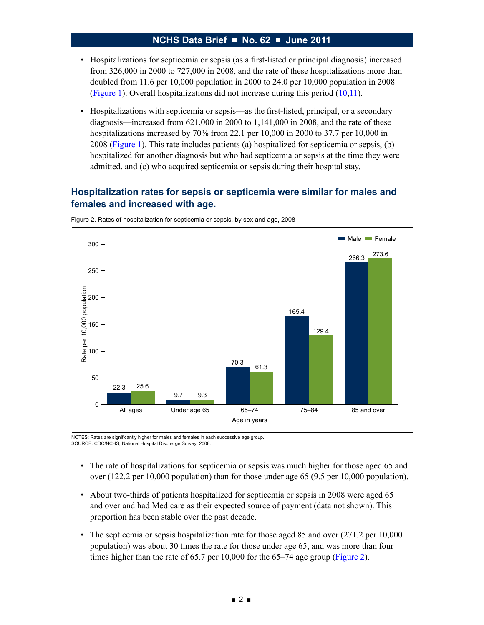- • Hospitalizations for septicemia or sepsis (as a first-listed or principal diagnosis) increased from 326,000 in 2000 to 727,000 in 2008, and the rate of these hospitalizations more than doubled from 11.6 per 10,000 population in 2000 to 24.0 per 10,000 population in 2008 [\(Figure](#page-0-0) 1). Overall hospitalizations did not increase during this period [\(10,11\)](#page-6-0).
- • Hospitalizations with septicemia or sepsis—as the first-listed, principal, or a secondary diagnosis—increased from 621,000 in 2000 to 1,141,000 in 2008, and the rate of these hospitalizations increased by 70% from 22.1 per 10,000 in 2000 to 37.7 per 10,000 in 2008 [\(Figure](#page-0-0) 1). This rate includes patients (a) hospitalized for septicemia or sepsis, (b) hospitalized for another diagnosis but who had septicemia or sepsis at the time they were admitted, and (c) who acquired septicemia or sepsis during their hospital stay.

## **Hospitalization rates for sepsis or septicemia were similar for males and females and increased with age.**



Figure 2. Rates of hospitalization for septicemia or sepsis, by sex and age, 2008

NOTES: Rates are significantly higher for males and females in each successive age group. SOURCE: CDC/NCHS, National Hospital Discharge Survey, 2008.

- The rate of hospitalizations for septicemia or sepsis was much higher for those aged 65 and over (122.2 per 10,000 population) than for those under age 65 (9.5 per 10,000 population).
- • About two-thirds of patients hospitalized for septicemia or sepsis in 2008 were aged 65 and over and had Medicare as their expected source of payment (data not shown). This proportion has been stable over the past decade.
- The septicemia or sepsis hospitalization rate for those aged 85 and over (271.2 per 10,000) population) was about 30 times the rate for those under age 65, and was more than four times higher than the rate of 65.7 per 10,000 for the 65–74 age group (Figure 2).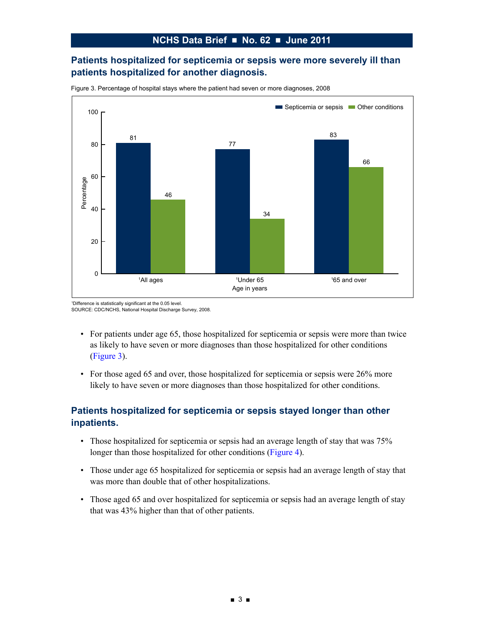## **Patients hospitalized for septicemia or sepsis were more severely ill than patients hospitalized for another diagnosis.**



Figure 3. Percentage of hospital stays where the patient had seven or more diagnoses, 2008

<sup>1</sup>Difference is statistically significant at the 0.05 level. SOURCE: CDC/NCHS, National Hospital Discharge Survey, 2008.

- For patients under age 65, those hospitalized for septicemia or sepsis were more than twice as likely to have seven or more diagnoses than those hospitalized for other conditions (Figure 3).
- For those aged 65 and over, those hospitalized for septicemia or sepsis were 26% more likely to have seven or more diagnoses than those hospitalized for other conditions.

## **Patients hospitalized for septicemia or sepsis stayed longer than other inpatients.**

- Those hospitalized for septicemia or sepsis had an average length of stay that was 75% longer than those hospitalized for other conditions [\(Figure](#page-3-0) 4).
- Those under age 65 hospitalized for septicemia or sepsis had an average length of stay that was more than double that of other hospitalizations.
- Those aged 65 and over hospitalized for septicemia or sepsis had an average length of stay that was 43% higher than that of other patients.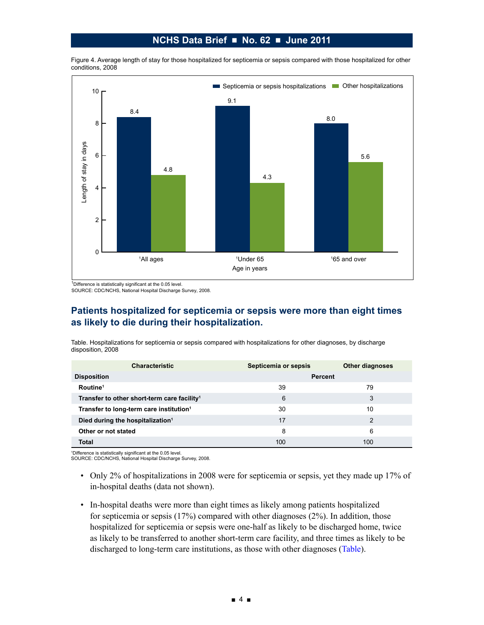<span id="page-3-0"></span>Figure 4. Average length of stay for those hospitalized for septicemia or sepsis compared with those hospitalized for other conditions, 2008



 $1$ Difference is statistically significant at the 0.05 level.

SOURCE: CDC/NCHS, National Hospital Discharge Survey, 2008.

## **Patients hospitalized for septicemia or sepsis were more than eight times as likely to die during their hospitalization.**

Table. Hospitalizations for septicemia or sepsis compared with hospitalizations for other diagnoses, by discharge disposition, 2008

| <b>Characteristic</b>                                   | Septicemia or sepsis | <b>Other diagnoses</b> |
|---------------------------------------------------------|----------------------|------------------------|
| <b>Disposition</b>                                      | <b>Percent</b>       |                        |
| Routine <sup>1</sup>                                    | 39                   | 79                     |
| Transfer to other short-term care facility <sup>1</sup> | 6                    | 3                      |
| Transfer to long-term care institution <sup>1</sup>     | 30                   | 10                     |
| Died during the hospitalization <sup>1</sup>            | 17                   | 2                      |
| Other or not stated                                     | 8                    | 6                      |
| <b>Total</b>                                            | 100                  | 100                    |

1 Difference is statistically significant at the 0.05 level. SOURCE: CDC/NCHS, National Hospital Discharge Survey, 2008.

- - Only 2% of hospitalizations in 2008 were for septicemia or sepsis, yet they made up 17% of in-hospital deaths (data not shown).
	- In-hospital deaths were more than eight times as likely among patients hospitalized for septicemia or sepsis (17%) compared with other diagnoses (2%). In addition, those hospitalized for septicemia or sepsis were one-half as likely to be discharged home, twice as likely to be transferred to another short-term care facility, and three times as likely to be discharged to long-term care institutions, as those with other diagnoses (Table).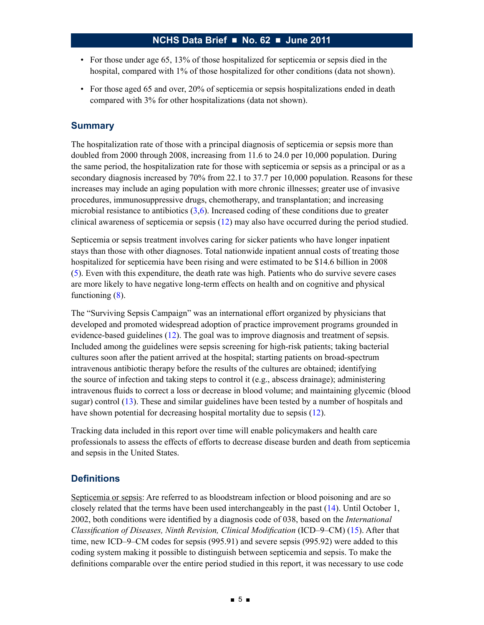- For those under age 65, 13% of those hospitalized for septicemia or sepsis died in the hospital, compared with 1% of those hospitalized for other conditions (data not shown).
- For those aged 65 and over, 20% of septicemia or sepsis hospitalizations ended in death compared with 3% for other hospitalizations (data not shown).

#### **Summary**

The hospitalization rate of those with a principal diagnosis of septicemia or sepsis more than doubled from 2000 through 2008, increasing from 11.6 to 24.0 per 10,000 population. During the same period, the hospitalization rate for those with septicemia or sepsis as a principal or as a secondary diagnosis increased by 70% from 22.1 to 37.7 per 10,000 population. Reasons for these increases may include an aging population with more chronic illnesses; greater use of invasive procedures, immunosuppressive drugs, chemotherapy, and transplantation; and increasing microbial resistance to antibiotics  $(3,6)$ . Increased coding of these conditions due to greater clinical awareness of septicemia or sepsis [\(12\)](#page-7-0) may also have occurred during the period studied.

Septicemia or sepsis treatment involves caring for sicker patients who have longer inpatient stays than those with other diagnoses. Total nationwide inpatient annual costs of treating those hospitalized for septicemia have been rising and were estimated to be \$14.6 billion in 2008 [\(5\)](#page-6-0). Even with this expenditure, the death rate was high. Patients who do survive severe cases are more likely to have negative long-term effects on health and on cognitive and physical functioning  $(8)$ .

The "Surviving Sepsis Campaign" was an international effort organized by physicians that developed and promoted widespread adoption of practice improvement programs grounded in evidence-based guidelines [\(12\)](#page-7-0). The goal was to improve diagnosis and treatment of sepsis. Included among the guidelines were sepsis screening for high-risk patients; taking bacterial cultures soon after the patient arrived at the hospital; starting patients on broad-spectrum intravenous antibiotic therapy before the results of the cultures are obtained; identifying the source of infection and taking steps to control it (e.g., abscess drainage); administering intravenous fluids to correct a loss or decrease in blood volume; and maintaining glycemic (blood sugar) control ([13\)](#page-7-0). These and similar guidelines have been tested by a number of hospitals and have shown potential for decreasing hospital mortality due to sepsis ([12\)](#page-7-0).

Tracking data included in this report over time will enable policymakers and health care professionals to assess the effects of efforts to decrease disease burden and death from septicemia and sepsis in the United States.

#### **Definitions**

Septicemia or sepsis: Are referred to as bloodstream infection or blood poisoning and are so closely related that the terms have been used interchangeably in the past [\(14\)](#page-7-0). Until October 1, 2002, both conditions were identified by a diagnosis code of 038, based on the *International Classification of Diseases, Ninth Revision, Clinical Modification* (ICD–9–CM) ([15\)](#page-7-0). After that time, new ICD–9–CM codes for sepsis (995.91) and severe sepsis (995.92) were added to this coding system making it possible to distinguish between septicemia and sepsis. To make the definitions comparable over the entire period studied in this report, it was necessary to use code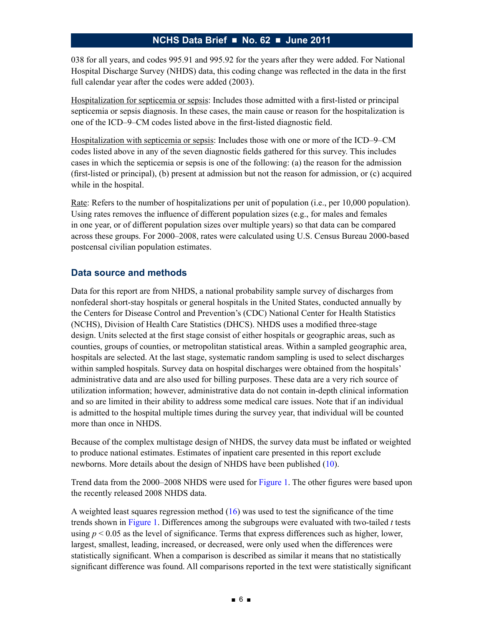038 for all years, and codes 995.91 and 995.92 for the years after they were added. For National Hospital Discharge Survey (NHDS) data, this coding change was reflected in the data in the first full calendar year after the codes were added (2003).

Hospitalization for septicemia or sepsis: Includes those admitted with a first-listed or principal septicemia or sepsis diagnosis. In these cases, the main cause or reason for the hospitalization is one of the ICD–9–CM codes listed above in the first-listed diagnostic field.

Hospitalization with septicemia or sepsis: Includes those with one or more of the ICD–9–CM codes listed above in any of the seven diagnostic fields gathered for this survey. This includes cases in which the septicemia or sepsis is one of the following: (a) the reason for the admission (first-listed or principal), (b) present at admission but not the reason for admission, or (c) acquired while in the hospital.

Rate: Refers to the number of hospitalizations per unit of population (i.e., per 10,000 population). Using rates removes the influence of different population sizes (e.g., for males and females in one year, or of different population sizes over multiple years) so that data can be compared across these groups. For 2000–2008, rates were calculated using U.S. Census Bureau 2000-based postcensal civilian population estimates.

#### **Data source and methods**

Data for this report are from NHDS, a national probability sample survey of discharges from nonfederal short-stay hospitals or general hospitals in the United States, conducted annually by the Centers for Disease Control and Prevention's (CDC) National Center for Health Statistics (NCHS), Division of Health Care Statistics (DHCS). NHDS uses a modified three-stage design. Units selected at the first stage consist of either hospitals or geographic areas, such as counties, groups of counties, or metropolitan statistical areas. Within a sampled geographic area, hospitals are selected. At the last stage, systematic random sampling is used to select discharges within sampled hospitals. Survey data on hospital discharges were obtained from the hospitals' administrative data and are also used for billing purposes. These data are a very rich source of utilization information; however, administrative data do not contain in-depth clinical information and so are limited in their ability to address some medical care issues. Note that if an individual is admitted to the hospital multiple times during the survey year, that individual will be counted more than once in NHDS.

Because of the complex multistage design of NHDS, the survey data must be inflated or weighted to produce national estimates. Estimates of inpatient care presented in this report exclude newborns. More details about the design of NHDS have been published [\(10\)](#page-6-0).

Trend data from the 2000–2008 NHDS were used for [Figure](#page-0-0) 1. The other figures were based upon the recently released 2008 NHDS data.

A weighted least squares regression method  $(16)$  was used to test the significance of the time trends shown in [Figure](#page-0-0) 1. Differences among the subgroups were evaluated with two-tailed *t* tests using  $p \le 0.05$  as the level of significance. Terms that express differences such as higher, lower, largest, smallest, leading, increased, or decreased, were only used when the differences were statistically significant. When a comparison is described as similar it means that no statistically significant difference was found. All comparisons reported in the text were statistically significant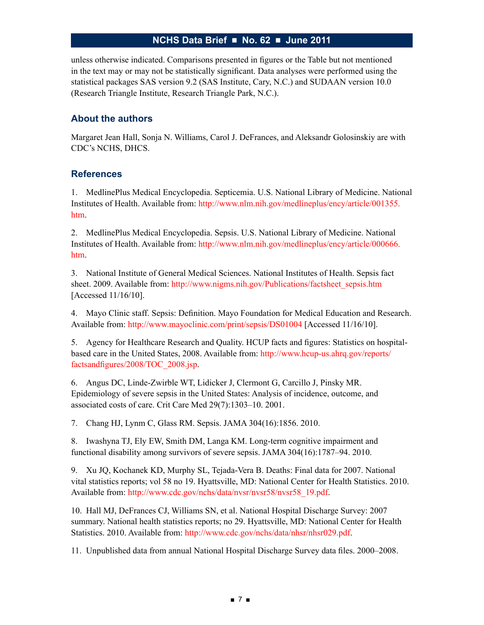<span id="page-6-0"></span>unless otherwise indicated. Comparisons presented in figures or the Table but not mentioned in the text may or may not be statistically significant. Data analyses were performed using the statistical packages SAS version 9.2 (SAS Institute, Cary, N.C.) and SUDAAN version 10.0 (Research Triangle Institute, Research Triangle Park, N.C.).

#### **About the authors**

Margaret Jean Hall, Sonja N. Williams, Carol J. DeFrances, and Aleksandr Golosinskiy are with CDC's NCHS, DHCS.

#### **References**

1. MedlinePlus Medical Encyclopedia. Septicemia. U.S. National Library of Medicine. National Institutes of Health. Available from: [http://www.nlm.nih.gov/medlineplus/ency/article/001355.](http://www.nlm.nih.gov/medlineplus/ency/article/001355.htm) [htm.](http://www.nlm.nih.gov/medlineplus/ency/article/001355.htm)

2. MedlinePlus Medical Encyclopedia. Sepsis. U.S. National Library of Medicine. National Institutes of Health. Available from: [http://www.nlm.nih.gov/medlineplus/ency/article/000666.](http://www.nlm.nih.gov/medlineplus/ency/article/000666.htm) [htm.](http://www.nlm.nih.gov/medlineplus/ency/article/000666.htm)

3. National Institute of General Medical Sciences. National Institutes of Health. Sepsis fact sheet. 2009. Available from: [http://www.nigms.nih.gov/Publications/factsheet\\_sepsis.htm](http://www.nigms.nih.gov/Publications/factsheet_sepsis.htm) [Accessed 11/16/10].

4. Mayo Clinic staff. Sepsis: Definition. Mayo Foundation for Medical Education and Research. Available from: <http://www.mayoclinic.com/print/sepsis/DS01004> [Accessed 11/16/10].

5. Agency for Healthcare Research and Quality. HCUP facts and figures: Statistics on hospitalbased care in the United States, 2008. Available from: [http://www.hcup-us.ahrq.gov/reports/](http://www.hcup-us.ahrq.gov/reports/factsandfigures/2008/TOC_2008.jsp) [factsandfigures/2008/TOC\\_2008.jsp.](http://www.hcup-us.ahrq.gov/reports/factsandfigures/2008/TOC_2008.jsp)

6. Angus DC, Linde-Zwirble WT, Lidicker J, Clermont G, Carcillo J, Pinsky MR. Epidemiology of severe sepsis in the United States: Analysis of incidence, outcome, and associated costs of care. Crit Care Med 29(7):1303–10. 2001.

7. Chang HJ, Lynm C, Glass RM. Sepsis. JAMA 304(16):1856. 2010.

8. Iwashyna TJ, Ely EW, Smith DM, Langa KM. Long-term cognitive impairment and functional disability among survivors of severe sepsis. JAMA 304(16):1787–94. 2010.

9. Xu JQ, Kochanek KD, Murphy SL, Tejada-Vera B. Deaths: Final data for 2007. National vital statistics reports; vol 58 no 19. Hyattsville, MD: National Center for Health Statistics. 2010. Available from: [http://www.cdc.gov/nchs/data/nvsr/nvsr58/nvsr58\\_19.pdf.](http://www.cdc.gov/nchs/data/nvsr/nvsr58/nvsr58_19.pdf)

10. Hall MJ, DeFrances CJ, Williams SN, et al. National Hospital Discharge Survey: 2007 summary. National health statistics reports; no 29. Hyattsville, MD: National Center for Health Statistics. 2010. Available from: [http://www.cdc.gov/nchs/data/nhsr/nhsr029.pdf.](http://www.cdc.gov/nchs/data/nhsr/nhsr029.pdf)

11. Unpublished data from annual National Hospital Discharge Survey data files. 2000–2008.